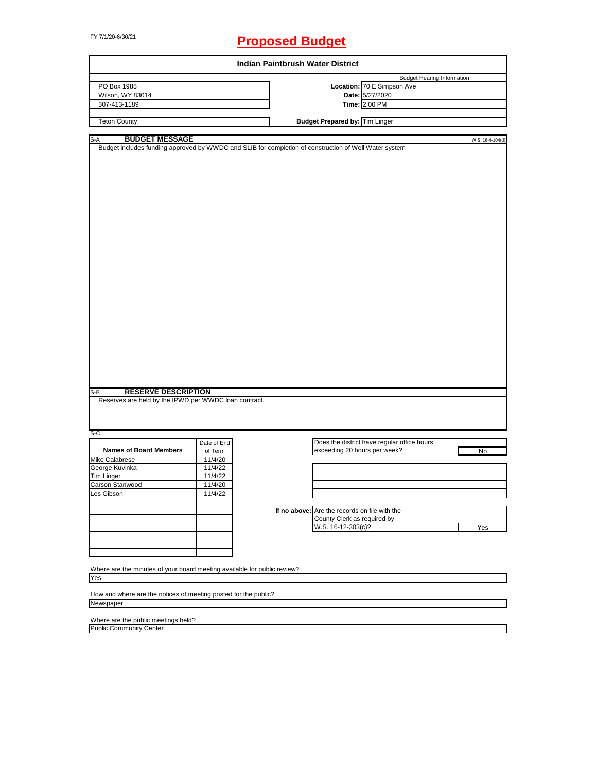# FY 7/1/20-6/30/21 **Proposed Budget**

|                                                                                                                                         |             | <b>Indian Paintbrush Water District</b> |                                               |                                             |                                   |                  |
|-----------------------------------------------------------------------------------------------------------------------------------------|-------------|-----------------------------------------|-----------------------------------------------|---------------------------------------------|-----------------------------------|------------------|
|                                                                                                                                         |             |                                         |                                               |                                             | <b>Budget Hearing Information</b> |                  |
| PO Box 1985                                                                                                                             |             |                                         |                                               | Location: 70 E Simpson Ave                  |                                   |                  |
| Wilson, WY 83014                                                                                                                        |             |                                         |                                               | Date: 5/27/2020                             |                                   |                  |
| 307-413-1189                                                                                                                            |             |                                         |                                               | Time: 2:00 PM                               |                                   |                  |
| <b>Teton County</b>                                                                                                                     |             |                                         | <b>Budget Prepared by: Tim Linger</b>         |                                             |                                   |                  |
|                                                                                                                                         |             |                                         |                                               |                                             |                                   |                  |
| <b>BUDGET MESSAGE</b><br>$S-A$<br>Budget includes funding approved by WWDC and SLIB for completion of construction of Well Water system |             |                                         |                                               |                                             |                                   | W.S. 16-4-104(d) |
|                                                                                                                                         |             |                                         |                                               |                                             |                                   |                  |
|                                                                                                                                         |             |                                         |                                               |                                             |                                   |                  |
|                                                                                                                                         |             |                                         |                                               |                                             |                                   |                  |
|                                                                                                                                         |             |                                         |                                               |                                             |                                   |                  |
|                                                                                                                                         |             |                                         |                                               |                                             |                                   |                  |
|                                                                                                                                         |             |                                         |                                               |                                             |                                   |                  |
|                                                                                                                                         |             |                                         |                                               |                                             |                                   |                  |
|                                                                                                                                         |             |                                         |                                               |                                             |                                   |                  |
|                                                                                                                                         |             |                                         |                                               |                                             |                                   |                  |
|                                                                                                                                         |             |                                         |                                               |                                             |                                   |                  |
|                                                                                                                                         |             |                                         |                                               |                                             |                                   |                  |
|                                                                                                                                         |             |                                         |                                               |                                             |                                   |                  |
|                                                                                                                                         |             |                                         |                                               |                                             |                                   |                  |
|                                                                                                                                         |             |                                         |                                               |                                             |                                   |                  |
|                                                                                                                                         |             |                                         |                                               |                                             |                                   |                  |
|                                                                                                                                         |             |                                         |                                               |                                             |                                   |                  |
|                                                                                                                                         |             |                                         |                                               |                                             |                                   |                  |
|                                                                                                                                         |             |                                         |                                               |                                             |                                   |                  |
|                                                                                                                                         |             |                                         |                                               |                                             |                                   |                  |
|                                                                                                                                         |             |                                         |                                               |                                             |                                   |                  |
|                                                                                                                                         |             |                                         |                                               |                                             |                                   |                  |
|                                                                                                                                         |             |                                         |                                               |                                             |                                   |                  |
|                                                                                                                                         |             |                                         |                                               |                                             |                                   |                  |
|                                                                                                                                         |             |                                         |                                               |                                             |                                   |                  |
|                                                                                                                                         |             |                                         |                                               |                                             |                                   |                  |
|                                                                                                                                         |             |                                         |                                               |                                             |                                   |                  |
|                                                                                                                                         |             |                                         |                                               |                                             |                                   |                  |
|                                                                                                                                         |             |                                         |                                               |                                             |                                   |                  |
|                                                                                                                                         |             |                                         |                                               |                                             |                                   |                  |
|                                                                                                                                         |             |                                         |                                               |                                             |                                   |                  |
| <b>RESERVE DESCRIPTION</b><br>$S-B$                                                                                                     |             |                                         |                                               |                                             |                                   |                  |
| Reserves are held by the IPWD per WWDC loan contract.                                                                                   |             |                                         |                                               |                                             |                                   |                  |
|                                                                                                                                         |             |                                         |                                               |                                             |                                   |                  |
|                                                                                                                                         |             |                                         |                                               |                                             |                                   |                  |
|                                                                                                                                         |             |                                         |                                               |                                             |                                   |                  |
| $S-C$                                                                                                                                   | Date of End |                                         |                                               | Does the district have regular office hours |                                   |                  |
| <b>Names of Board Members</b>                                                                                                           |             |                                         | exceeding 20 hours per week?                  |                                             |                                   |                  |
|                                                                                                                                         | of Term     |                                         |                                               |                                             |                                   | No               |
| Mike Calabrese                                                                                                                          | 11/4/20     |                                         |                                               |                                             |                                   |                  |
|                                                                                                                                         | 11/4/22     |                                         |                                               |                                             |                                   |                  |
|                                                                                                                                         | 11/4/22     |                                         |                                               |                                             |                                   |                  |
|                                                                                                                                         | 11/4/20     |                                         |                                               |                                             |                                   |                  |
|                                                                                                                                         | 11/4/22     |                                         |                                               |                                             |                                   |                  |
|                                                                                                                                         |             |                                         |                                               |                                             |                                   |                  |
|                                                                                                                                         |             |                                         | If no above: Are the records on file with the |                                             |                                   |                  |
|                                                                                                                                         |             |                                         | County Clerk as required by                   |                                             |                                   |                  |
|                                                                                                                                         |             |                                         | W.S. 16-12-303(c)?                            |                                             |                                   | Yes              |
|                                                                                                                                         |             |                                         |                                               |                                             |                                   |                  |
|                                                                                                                                         |             |                                         |                                               |                                             |                                   |                  |
|                                                                                                                                         |             |                                         |                                               |                                             |                                   |                  |
| George Kuvinka<br>Tim Linger<br>Carson Stanwood<br>Les Gibson                                                                           |             |                                         |                                               |                                             |                                   |                  |
| Where are the minutes of your board meeting available for public review?                                                                |             |                                         |                                               |                                             |                                   |                  |
| Yes                                                                                                                                     |             |                                         |                                               |                                             |                                   |                  |
|                                                                                                                                         |             |                                         |                                               |                                             |                                   |                  |
| How and where are the notices of meeting posted for the public?<br>Newspaper                                                            |             |                                         |                                               |                                             |                                   |                  |

 $\overline{\phantom{0}}$ 

Public Community Center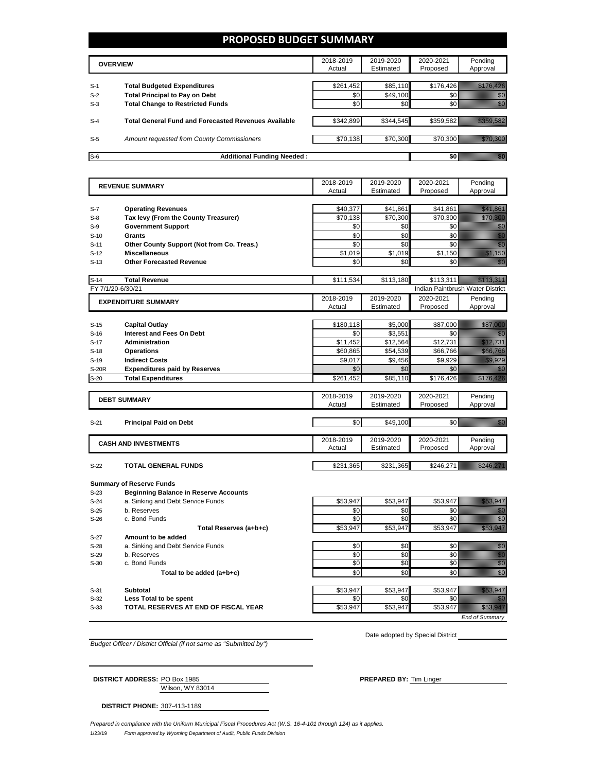### **PROPOSED BUDGET SUMMARY**

|       | <b>OVERVIEW</b>                                             | 2018-2019<br>Actual | 2019-2020<br>Estimated | 2020-2021<br>Proposed | Pending<br>Approval |
|-------|-------------------------------------------------------------|---------------------|------------------------|-----------------------|---------------------|
| $S-1$ | <b>Total Budgeted Expenditures</b>                          | \$261,452           | \$85,110               | \$176,426             |                     |
| $S-2$ | <b>Total Principal to Pay on Debt</b>                       | \$0                 | \$49,100               |                       |                     |
| $S-3$ | <b>Total Change to Restricted Funds</b>                     | \$0                 | \$0                    |                       |                     |
|       |                                                             |                     |                        |                       |                     |
| $S-4$ | <b>Total General Fund and Forecasted Revenues Available</b> | \$342,899           | \$344.545              | \$359.582             |                     |
|       |                                                             |                     |                        |                       |                     |
| $S-5$ | Amount requested from County Commissioners                  | \$70,138            | \$70,300               | \$70.300              |                     |
| $S-6$ | <b>Additional Funding Needed:</b>                           |                     |                        |                       |                     |

| <b>REVENUE SUMMARY</b> |                                                                | 2018-2019       | 2019-2020       | 2020-2021                        | Pending                                                                                                                                                                                                                                                  |
|------------------------|----------------------------------------------------------------|-----------------|-----------------|----------------------------------|----------------------------------------------------------------------------------------------------------------------------------------------------------------------------------------------------------------------------------------------------------|
|                        |                                                                | Actual          | Estimated       | Proposed                         | Approval                                                                                                                                                                                                                                                 |
|                        |                                                                |                 |                 |                                  |                                                                                                                                                                                                                                                          |
| $S-7$                  | <b>Operating Revenues</b>                                      | \$40,377        | \$41,861        | \$41,861                         | <u> Mariji (</u>                                                                                                                                                                                                                                         |
| $S-8$                  | Tax levy (From the County Treasurer)                           | \$70,138        | \$70,300        | \$70.300                         | <u>till kann</u>                                                                                                                                                                                                                                         |
| $S-9$                  | <b>Government Support</b>                                      | \$0             | \$0             | \$0                              | en de la familie de la familie de la familie de la familie de la familie de la familie de la familie de la fam<br>De la familie de la familie de la familie de la familie de la familie de la familie de la familie de la famili                         |
| $S-10$                 | <b>Grants</b>                                                  | \$0             | \$0             | \$0                              | en de la familie de la familie de la familie de la familie de la familie de la familie de la familie de la fam<br>Estatubat de la familie de la familie de la familie de la familie de la familie de la familie de la familie de                         |
| $S-11$                 | Other County Support (Not from Co. Treas.)                     | \$0             | \$0             | \$0                              | en eller<br>Michell                                                                                                                                                                                                                                      |
| $S-12$                 | <b>Miscellaneous</b>                                           | \$1.019         | \$1,019         | \$1.150                          |                                                                                                                                                                                                                                                          |
| $S-13$                 | <b>Other Forecasted Revenue</b>                                | \$0             | \$0             | \$0                              | en de la filòlogía<br>Contradición                                                                                                                                                                                                                       |
|                        |                                                                |                 |                 |                                  |                                                                                                                                                                                                                                                          |
| $S-14$                 | <b>Total Revenue</b>                                           | \$111,534       | \$113,180       | \$113,311                        | <u>Mikroellin van die ge</u>                                                                                                                                                                                                                             |
|                        | FY 7/1/20-6/30/21                                              |                 |                 | Indian Paintbrush Water District |                                                                                                                                                                                                                                                          |
|                        | <b>EXPENDITURE SUMMARY</b>                                     | 2018-2019       | 2019-2020       | 2020-2021                        | Pending                                                                                                                                                                                                                                                  |
|                        |                                                                | Actual          | Estimated       | Proposed                         | Approval                                                                                                                                                                                                                                                 |
|                        |                                                                |                 |                 |                                  |                                                                                                                                                                                                                                                          |
| $S-15$                 | <b>Capital Outlay</b>                                          | \$180,118       | \$5.000         | \$87.000                         | <u> Kalendari Se</u>                                                                                                                                                                                                                                     |
| $S-16$                 | <b>Interest and Fees On Debt</b>                               | \$0             | \$3,551         | \$0                              | en de la filòlogía<br>Tallacha                                                                                                                                                                                                                           |
| $S-17$                 | <b>Administration</b>                                          | \$11,452        | \$12,564        | \$12,731                         | <u>mana ka</u>                                                                                                                                                                                                                                           |
| $S-18$                 | <b>Operations</b>                                              | \$60,865        | \$54,539        | \$66,766                         |                                                                                                                                                                                                                                                          |
| $S-19$                 | <b>Indirect Costs</b>                                          | \$9.017         | \$9,456         | \$9.929                          | <u> Maria Ma</u>                                                                                                                                                                                                                                         |
| <b>S-20R</b>           | <b>Expenditures paid by Reserves</b>                           | \$0             | \$0             | \$0                              | en de la filosofia<br>Album de la filosofia                                                                                                                                                                                                              |
| $S-20$                 | <b>Total Expenditures</b>                                      | \$261,452       | \$85,110        | \$176,426                        | <u>Mille Martin</u>                                                                                                                                                                                                                                      |
|                        |                                                                |                 |                 |                                  |                                                                                                                                                                                                                                                          |
|                        | <b>DEBT SUMMARY</b>                                            | 2018-2019       | 2019-2020       | 2020-2021                        | Pending                                                                                                                                                                                                                                                  |
|                        |                                                                | Actual          | Estimated       | Proposed                         | Approval                                                                                                                                                                                                                                                 |
|                        |                                                                |                 |                 |                                  |                                                                                                                                                                                                                                                          |
| $S-21$                 | <b>Principal Paid on Debt</b>                                  | \$0             | \$49,100        | \$0                              | en de la familie de la familie de la familie de la familie de la familie de la familie de la familie de la fam<br>Estat de la familie de la familie de la familie de la familie de la familie de la familie de la familie de la                          |
|                        |                                                                |                 |                 |                                  |                                                                                                                                                                                                                                                          |
|                        | <b>CASH AND INVESTMENTS</b>                                    | 2018-2019       | 2019-2020       | 2020-2021                        | Pending                                                                                                                                                                                                                                                  |
|                        |                                                                | Actual          | Estimated       | Proposed                         | Approval                                                                                                                                                                                                                                                 |
|                        |                                                                |                 |                 |                                  |                                                                                                                                                                                                                                                          |
| $S-22$                 | <b>TOTAL GENERAL FUNDS</b>                                     | \$231,365       | \$231,365       | \$246,271                        | <u> Maritim Sarajan Saraja</u>                                                                                                                                                                                                                           |
|                        |                                                                |                 |                 |                                  |                                                                                                                                                                                                                                                          |
|                        | <b>Summary of Reserve Funds</b>                                |                 |                 |                                  |                                                                                                                                                                                                                                                          |
| $S-23$                 | <b>Beginning Balance in Reserve Accounts</b>                   |                 |                 |                                  |                                                                                                                                                                                                                                                          |
| $S-24$                 | a. Sinking and Debt Service Funds                              | \$53,947        | \$53,947        | \$53,947                         | <u>mana a</u>                                                                                                                                                                                                                                            |
| $S-25$                 | b. Reserves                                                    | \$0             | \$0             | \$0                              | en de la familie de la familie de la familie de la familie de la familie de la familie de la familie de la fam<br>Establece de la familie de la familie de la familie de la familie de la familie de la familie de la familie de                         |
| $S-26$                 | c. Bond Funds                                                  | \$0             | \$0             | \$0                              | W                                                                                                                                                                                                                                                        |
|                        | Total Reserves (a+b+c)                                         | \$53,947        | \$53,947        | \$53,947                         | a katika katika katika katika alikuwa na katika alikuwa na katika alikuwa na katika alikuwa na katika alikuwa<br>Katika katika katika katika katika katika katika katika katika katika katika katika katika katika katika katik                          |
| $S-27$                 | Amount to be added                                             |                 |                 |                                  |                                                                                                                                                                                                                                                          |
| $S-28$                 | a. Sinking and Debt Service Funds                              | \$0             | \$0             | \$0                              | e de la composición de la composición de la composición de la composición de la composición de la composición<br>Altre de la composición de la composición de la composición de la composición de la composición de la composic                          |
| $S-29$                 | b. Reserves                                                    | \$0             | \$0             | \$0                              |                                                                                                                                                                                                                                                          |
| $S-30$                 | c. Bond Funds                                                  | \$0             | \$0             | \$0                              |                                                                                                                                                                                                                                                          |
|                        | Total to be added (a+b+c)                                      | \$0             | \$0             | \$0                              | en de la familie de la familie de la familie de la familie de la familie de la familie de la familie de la fa<br>De la familie de la familie de la familie de la familie de la familie de la familie de la familie de la famili                          |
|                        |                                                                |                 |                 |                                  |                                                                                                                                                                                                                                                          |
| $S-31$                 | <b>Subtotal</b>                                                | \$53,947        | \$53,947        | \$53,947                         | a katalog ay na katalog asala na katalog asala na katalog asala na katalog asala na katalog asala na katalog a<br>Manazarta                                                                                                                              |
|                        |                                                                |                 |                 |                                  |                                                                                                                                                                                                                                                          |
| $S-32$<br>$S-33$       | Less Total to be spent<br>TOTAL RESERVES AT END OF FISCAL YEAR | \$0<br>\$53,947 | \$0<br>\$53,947 | \$0<br>\$53,947                  | en de la familie de la familie de la familie de la familie de la familie de la familie de la familie de la fa<br>Constitution de la familie de la familie de la familie de la familie de la familie de la familie de la familie<br><u>ti kalendari k</u> |

*End of Summary*

*Budget Officer / District Official (if not same as "Submitted by")*

Wilson, WY 83014 **DISTRICT ADDRESS:** PO Box 1985 **PREPARED BY:** Tim Linger

Date adopted by Special District

**DISTRICT PHONE:** 307-413-1189

1/23/19 *Form approved by Wyoming Department of Audit, Public Funds Division Prepared in compliance with the Uniform Municipal Fiscal Procedures Act (W.S. 16-4-101 through 124) as it applies.*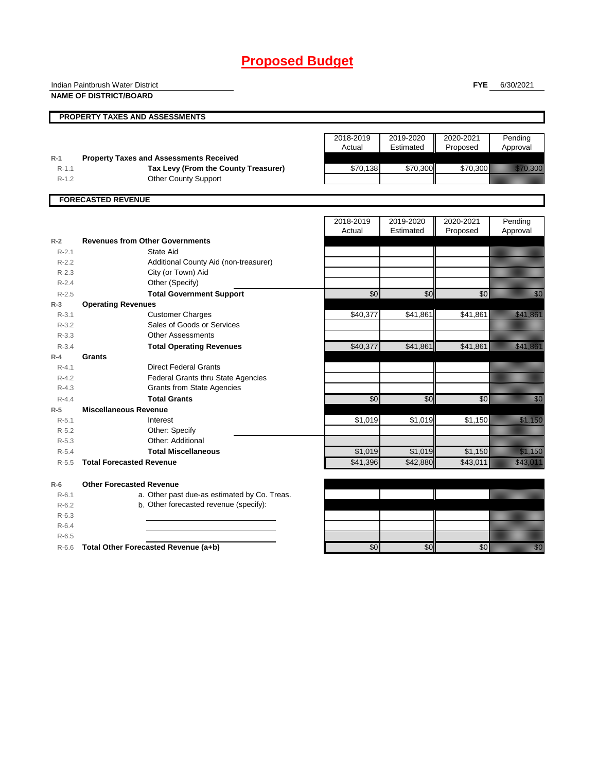# **Proposed Budget**

|           | Indian Paintbrush Water District               |                 |           | <b>FYE</b>      | 6/30/2021                                                                                                                                                                                                                      |
|-----------|------------------------------------------------|-----------------|-----------|-----------------|--------------------------------------------------------------------------------------------------------------------------------------------------------------------------------------------------------------------------------|
|           | <b>NAME OF DISTRICT/BOARD</b>                  |                 |           |                 |                                                                                                                                                                                                                                |
|           |                                                |                 |           |                 |                                                                                                                                                                                                                                |
|           | PROPERTY TAXES AND ASSESSMENTS                 |                 |           |                 |                                                                                                                                                                                                                                |
|           |                                                |                 |           |                 |                                                                                                                                                                                                                                |
|           |                                                | 2018-2019       | 2019-2020 | 2020-2021       | Pending                                                                                                                                                                                                                        |
|           |                                                | Actual          | Estimated | Proposed        | Approval                                                                                                                                                                                                                       |
| $R-1$     | <b>Property Taxes and Assessments Received</b> |                 |           |                 |                                                                                                                                                                                                                                |
| $R-1.1$   | Tax Levy (From the County Treasurer)           | \$70,138        | \$70,300  | \$70,300        | <u>e de la construcción de la construcción de la construcción de la construcción de la construcción de la constru</u>                                                                                                          |
| $R-1.2$   | <b>Other County Support</b>                    |                 |           |                 |                                                                                                                                                                                                                                |
|           | <b>FORECASTED REVENUE</b>                      |                 |           |                 |                                                                                                                                                                                                                                |
|           |                                                |                 |           |                 |                                                                                                                                                                                                                                |
|           |                                                | 2018-2019       | 2019-2020 | 2020-2021       | Pending                                                                                                                                                                                                                        |
|           |                                                | Actual          | Estimated | Proposed        | Approval                                                                                                                                                                                                                       |
| $R-2$     | <b>Revenues from Other Governments</b>         |                 |           |                 |                                                                                                                                                                                                                                |
| $R-2.1$   | State Aid                                      |                 |           |                 |                                                                                                                                                                                                                                |
| $R-2.2$   | Additional County Aid (non-treasurer)          |                 |           |                 |                                                                                                                                                                                                                                |
| $R - 2.3$ | City (or Town) Aid                             |                 |           |                 |                                                                                                                                                                                                                                |
| $R-2.4$   | Other (Specify)                                |                 |           |                 |                                                                                                                                                                                                                                |
| $R-2.5$   | <b>Total Government Support</b>                | \$0             | \$0       | \$0             | en de la familie de la familie de la familie de la familie de la familie de la familie de la familie de la fa<br>Espainia                                                                                                      |
| $R-3$     | <b>Operating Revenues</b>                      |                 |           |                 |                                                                                                                                                                                                                                |
| $R - 3.1$ | <b>Customer Charges</b>                        | \$40,377        | \$41,861  | \$41,861        | <u> Karl Till Stock</u>                                                                                                                                                                                                        |
| $R - 3.2$ | Sales of Goods or Services                     |                 |           |                 |                                                                                                                                                                                                                                |
| $R - 3.3$ | <b>Other Assessments</b>                       |                 |           |                 |                                                                                                                                                                                                                                |
| $R - 3.4$ | <b>Total Operating Revenues</b>                | \$40,377        | \$41,861  | \$41,861        | <u>tik kalendari sebagai per</u>                                                                                                                                                                                               |
| $R-4$     | Grants                                         |                 |           |                 |                                                                                                                                                                                                                                |
| $R - 4.1$ | <b>Direct Federal Grants</b>                   |                 |           |                 |                                                                                                                                                                                                                                |
| $R - 4.2$ | <b>Federal Grants thru State Agencies</b>      |                 |           |                 |                                                                                                                                                                                                                                |
| $R - 4.3$ | <b>Grants from State Agencies</b>              |                 |           |                 |                                                                                                                                                                                                                                |
| $R - 4.4$ | <b>Total Grants</b>                            | \$0             | \$0       | \$0             | en de la filosofia<br>Maria de la filosofia                                                                                                                                                                                    |
| $R-5$     | <b>Miscellaneous Revenue</b>                   |                 |           |                 |                                                                                                                                                                                                                                |
| $R - 5.1$ | Interest                                       | \$1,019         | \$1,019   | \$1,150         | <u>tik kara</u>                                                                                                                                                                                                                |
| $R-5.2$   | Other: Specify                                 |                 |           |                 |                                                                                                                                                                                                                                |
| $R-5.3$   | Other: Additional                              |                 |           |                 |                                                                                                                                                                                                                                |
| $R-5.4$   | <b>Total Miscellaneous</b>                     | \$1,019         | \$1,019   | \$1,150         | <u>tik ka</u>                                                                                                                                                                                                                  |
| $R - 5.5$ | <b>Total Forecasted Revenue</b>                | \$41,396        | \$42,880  | \$43,011        | <u> Karl Sara</u>                                                                                                                                                                                                              |
| $R-6$     | <b>Other Forecasted Revenue</b>                |                 |           |                 |                                                                                                                                                                                                                                |
| $R - 6.1$ | a. Other past due-as estimated by Co. Treas.   |                 |           |                 |                                                                                                                                                                                                                                |
| $R-6.2$   | b. Other forecasted revenue (specify):         |                 |           |                 |                                                                                                                                                                                                                                |
| $R-6.3$   |                                                |                 |           |                 |                                                                                                                                                                                                                                |
| $R-6.4$   |                                                |                 |           |                 |                                                                                                                                                                                                                                |
| $R-6.5$   |                                                |                 |           |                 |                                                                                                                                                                                                                                |
| $R-6.6$   | Total Other Forecasted Revenue (a+b)           | $\overline{60}$ | \$0       | $\overline{60}$ | en de la familie de la familie de la familie de la familie de la familie de la familie de la familie de la fa<br>Concello de la familie de la familie de la familie de la familie de la familie de la familie de la familie de |
|           |                                                |                 |           |                 |                                                                                                                                                                                                                                |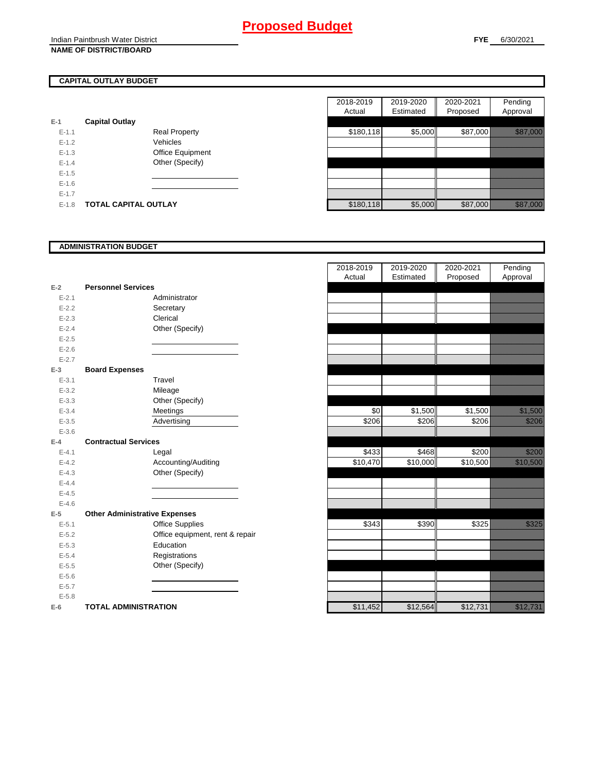## **CAPITAL OUTLAY BUDGET**

| $E-1$   | <b>Capital Outlay</b>       |                         |
|---------|-----------------------------|-------------------------|
| $F-11$  |                             | <b>Real Property</b>    |
| $F-12$  |                             | Vehicles                |
| $F-1.3$ |                             | <b>Office Equipment</b> |
| $F-14$  |                             | Other (Specify)         |
| $F-1.5$ |                             |                         |
| $F-16$  |                             |                         |
| $F-17$  |                             |                         |
| $F-1.8$ | <b>TOTAL CAPITAL OUTLAY</b> |                         |

|           |                             |                      | 2018-2019 | 2019-2020 | 2020-2021 | Pending                                                                                                        |
|-----------|-----------------------------|----------------------|-----------|-----------|-----------|----------------------------------------------------------------------------------------------------------------|
|           |                             |                      | Actual    | Estimated | Proposed  | Approval                                                                                                       |
|           | <b>Capital Outlay</b>       |                      |           |           |           |                                                                                                                |
| $E - 1.1$ |                             | <b>Real Property</b> | \$180,118 | \$5,000   | \$87,000  | <u> Kalifornia (h. 1888).</u>                                                                                  |
| $E - 1.2$ |                             | Vehicles             |           |           |           |                                                                                                                |
| $E-1.3$   |                             | Office Equipment     |           |           |           |                                                                                                                |
| $E - 1.4$ |                             | Other (Specify)      |           |           |           |                                                                                                                |
| $E-1.5$   |                             |                      |           |           |           |                                                                                                                |
| $E-1.6$   |                             |                      |           |           |           |                                                                                                                |
| $E - 1.7$ |                             |                      |           |           |           |                                                                                                                |
| $E-1.8$   | <b>TOTAL CAPITAL OUTLAY</b> |                      | \$180,118 | \$5,000   | \$87,000  | a a chuid ann an chuid an chuid an chuid ann an chuid an chuid an chuid ann an chuid ann an chuid ann an chuid |

### **ADMINISTRATION BUDGET**

| $E-2$     | <b>Personnel Services</b>            |
|-----------|--------------------------------------|
| $E - 2.1$ | Administrator                        |
| $E - 2.2$ | Secretary                            |
| $E - 2.3$ | Clerical                             |
| $E - 2.4$ | Other (Specify)                      |
| $E - 2.5$ |                                      |
| $E - 2.6$ |                                      |
| $E - 2.7$ |                                      |
| $E-3$     | <b>Board Expenses</b>                |
| $E - 3.1$ | Travel                               |
| $E - 3.2$ | Mileage                              |
| $E - 3.3$ | Other (Specify)                      |
| $E - 3.4$ | Meetings                             |
| $E - 3.5$ | Advertising                          |
| $E - 3.6$ |                                      |
| $E-4$     | <b>Contractual Services</b>          |
| $E - 4.1$ | Legal                                |
| $E - 4.2$ | Accounting/Auditing                  |
| $E - 4.3$ | Other (Specify)                      |
| $E-4.4$   |                                      |
| $E - 4.5$ |                                      |
| $E - 4.6$ |                                      |
| $E-5$     | <b>Other Administrative Expenses</b> |
| $E - 5.1$ | <b>Office Supplies</b>               |
| $E - 5.2$ | Office equipment, rent & repair      |
| $E - 5.3$ | Education                            |
| $E - 5.4$ | Registrations                        |
| $E - 5.5$ | Other (Specify)                      |
| $E - 5.6$ |                                      |
| $E - 5.7$ |                                      |
| $E - 5.8$ |                                      |
| $E-6$     | <b>TOTAL ADMINISTRATION</b>          |

|           |                                      | 2018-2019<br>Actual | 2019-2020<br>Estimated | 2020-2021<br>Proposed | Pending<br>Approval   |
|-----------|--------------------------------------|---------------------|------------------------|-----------------------|-----------------------|
| Ž         | <b>Personnel Services</b>            |                     |                        |                       |                       |
| $E - 2.1$ | Administrator                        |                     |                        |                       |                       |
| $E - 2.2$ | Secretary                            |                     |                        |                       |                       |
| $E - 2.3$ | Clerical                             |                     |                        |                       |                       |
| $E - 2.4$ | Other (Specify)                      |                     |                        |                       |                       |
| $E-2.5$   |                                      |                     |                        |                       |                       |
| $E - 2.6$ |                                      |                     |                        |                       |                       |
| $E - 2.7$ |                                      |                     |                        |                       |                       |
| š         | <b>Board Expenses</b>                |                     |                        |                       |                       |
| $E - 3.1$ | Travel                               |                     |                        |                       |                       |
| $E - 3.2$ | Mileage                              |                     |                        |                       |                       |
| $E - 3.3$ | Other (Specify)                      |                     |                        |                       |                       |
| $E - 3.4$ | Meetings                             | \$0                 | \$1,500                | \$1,500               | <u> Kalèndher Ka</u>  |
| $E - 3.5$ | Advertising                          | \$206               | \$206                  | \$206                 | <u>till fram</u>      |
| $E - 3.6$ |                                      |                     |                        |                       |                       |
| ı.        | <b>Contractual Services</b>          |                     |                        |                       |                       |
| $E - 4.1$ | Legal                                | \$433               | \$468                  | \$200                 | <u> Killistoria (</u> |
| $E - 4.2$ | Accounting/Auditing                  | \$10,470            | $\overline{$}10,000$   | \$10,500              | <u> Karl Sara</u>     |
| $E - 4.3$ | Other (Specify)                      |                     |                        |                       |                       |
| $E - 4.4$ |                                      |                     |                        |                       |                       |
| $E-4.5$   |                                      |                     |                        |                       |                       |
| $E - 4.6$ |                                      |                     |                        |                       |                       |
| 5         | <b>Other Administrative Expenses</b> |                     |                        |                       |                       |
| $E - 5.1$ | <b>Office Supplies</b>               | \$343               | \$390                  | \$325                 | <u>tik ku</u>         |
| $E - 5.2$ | Office equipment, rent & repair      |                     |                        |                       |                       |
| $E - 5.3$ | Education                            |                     |                        |                       |                       |
| $E - 5.4$ | Registrations                        |                     |                        |                       |                       |
| $E - 5.5$ | Other (Specify)                      |                     |                        |                       |                       |
| $E - 5.6$ |                                      |                     |                        |                       |                       |
| $E - 5.7$ |                                      |                     |                        |                       |                       |
| $E - 5.8$ |                                      |                     |                        |                       |                       |
| ì         | <b>TOTAL ADMINISTRATION</b>          | \$11,452            | \$12,564               | \$12,731              | <u> Kalèndher Ka</u>  |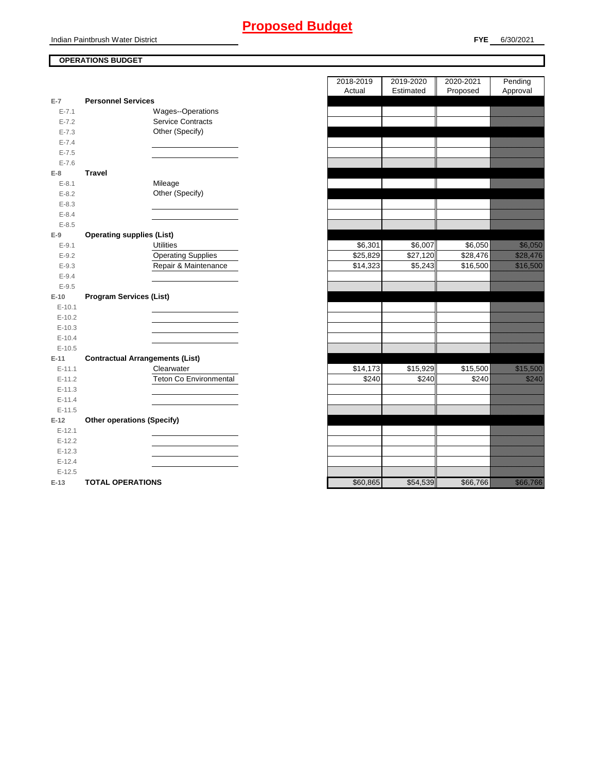# **Proposed Budget**

Indian Paintbrush Water District

## **FYE** 6/30/2021

## **OPERATIONS BUDGET**

|           |                                        | Actual   | Estimated | Proposed | Approval                                                                                                                                                                                                                        |
|-----------|----------------------------------------|----------|-----------|----------|---------------------------------------------------------------------------------------------------------------------------------------------------------------------------------------------------------------------------------|
| $E-7$     | <b>Personnel Services</b>              |          |           |          |                                                                                                                                                                                                                                 |
| $E - 7.1$ | Wages--Operations                      |          |           |          |                                                                                                                                                                                                                                 |
| $E - 7.2$ | <b>Service Contracts</b>               |          |           |          |                                                                                                                                                                                                                                 |
| $E - 7.3$ | Other (Specify)                        |          |           |          |                                                                                                                                                                                                                                 |
| $E - 7.4$ |                                        |          |           |          |                                                                                                                                                                                                                                 |
| $E - 7.5$ |                                        |          |           |          |                                                                                                                                                                                                                                 |
| $E - 7.6$ |                                        |          |           |          |                                                                                                                                                                                                                                 |
| $E-8$     | <b>Travel</b>                          |          |           |          |                                                                                                                                                                                                                                 |
| $E - 8.1$ | Mileage                                |          |           |          |                                                                                                                                                                                                                                 |
| $E - 8.2$ | Other (Specify)                        |          |           |          |                                                                                                                                                                                                                                 |
| $E - 8.3$ |                                        |          |           |          |                                                                                                                                                                                                                                 |
| $E - 8.4$ |                                        |          |           |          |                                                                                                                                                                                                                                 |
| $E - 8.5$ |                                        |          |           |          |                                                                                                                                                                                                                                 |
| $E-9$     | <b>Operating supplies (List)</b>       |          |           |          |                                                                                                                                                                                                                                 |
| $E-9.1$   | <b>Utilities</b>                       | \$6,301  | \$6,007   | \$6,050  |                                                                                                                                                                                                                                 |
| $E-9.2$   | <b>Operating Supplies</b>              | \$25,829 | \$27,120  | \$28,476 | <u>tika kuningan di kacamatan di kacamatan di kacamatan di kacamatan di kacamatan di kacamatan di kacamatan di k</u>                                                                                                            |
| $E - 9.3$ | Repair & Maintenance                   | \$14,323 | \$5,243   | \$16,500 | <u>in Marija Saraja</u>                                                                                                                                                                                                         |
| $E - 9.4$ |                                        |          |           |          |                                                                                                                                                                                                                                 |
| $E - 9.5$ |                                        |          |           |          |                                                                                                                                                                                                                                 |
| $E-10$    | <b>Program Services (List)</b>         |          |           |          |                                                                                                                                                                                                                                 |
| $E-10.1$  |                                        |          |           |          |                                                                                                                                                                                                                                 |
| $E-10.2$  |                                        |          |           |          |                                                                                                                                                                                                                                 |
| $E-10.3$  |                                        |          |           |          |                                                                                                                                                                                                                                 |
| $E-10.4$  |                                        |          |           |          |                                                                                                                                                                                                                                 |
| $E-10.5$  |                                        |          |           |          |                                                                                                                                                                                                                                 |
| $E-11$    | <b>Contractual Arrangements (List)</b> |          |           |          |                                                                                                                                                                                                                                 |
| $E-11.1$  | Clearwater                             | \$14,173 | \$15,929  | \$15,500 | a katalunggal katalunggal sa katalunggal katalunggal sa katalunggal sa katalunggal sa katalunggal sa katalung<br>Katalunggal sa katalunggal sa katalunggal sa katalunggal sa katalunggal sa katalunggal sa katalunggal sa katal |
| $E-11.2$  | <b>Teton Co Environmental</b>          | \$240    | \$240     | \$240    | <u>i ka</u>                                                                                                                                                                                                                     |
| $E-11.3$  |                                        |          |           |          |                                                                                                                                                                                                                                 |
| $E-11.4$  |                                        |          |           |          |                                                                                                                                                                                                                                 |
| $E-11.5$  |                                        |          |           |          |                                                                                                                                                                                                                                 |
| $E-12$    | <b>Other operations (Specify)</b>      |          |           |          |                                                                                                                                                                                                                                 |
| $E-12.1$  |                                        |          |           |          |                                                                                                                                                                                                                                 |
| $E-12.2$  |                                        |          |           |          |                                                                                                                                                                                                                                 |
| $E-12.3$  |                                        |          |           |          |                                                                                                                                                                                                                                 |
| $E-12.4$  |                                        |          |           |          |                                                                                                                                                                                                                                 |
| $E-12.5$  |                                        |          |           |          |                                                                                                                                                                                                                                 |
| $E-13$    | <b>TOTAL OPERATIONS</b>                | \$60,865 | \$54,539  | \$66,766 | a katika katika katika katika ali                                                                                                                                                                                               |

|                |                                        | 2018-2019<br>Actual | 2019-2020<br>Estimated | 2020-2021<br>Proposed | Pending<br>Approval                                                                                                  |
|----------------|----------------------------------------|---------------------|------------------------|-----------------------|----------------------------------------------------------------------------------------------------------------------|
| $\overline{7}$ | <b>Personnel Services</b>              |                     |                        |                       |                                                                                                                      |
| $E - 7.1$      | Wages--Operations                      |                     |                        |                       |                                                                                                                      |
| $E - 7.2$      | <b>Service Contracts</b>               |                     |                        |                       |                                                                                                                      |
| $E - 7.3$      | Other (Specify)                        |                     |                        |                       |                                                                                                                      |
| $E - 7.4$      |                                        |                     |                        |                       |                                                                                                                      |
| $E - 7.5$      |                                        |                     |                        |                       |                                                                                                                      |
| $E - 7.6$      |                                        |                     |                        |                       |                                                                                                                      |
| 8              | <b>Travel</b>                          |                     |                        |                       |                                                                                                                      |
| $E - 8.1$      | Mileage                                |                     |                        |                       |                                                                                                                      |
| $E - 8.2$      | Other (Specify)                        |                     |                        |                       |                                                                                                                      |
| $E - 8.3$      |                                        |                     |                        |                       |                                                                                                                      |
| $E - 8.4$      |                                        |                     |                        |                       |                                                                                                                      |
| $E - 8.5$      |                                        |                     |                        |                       |                                                                                                                      |
| 9              | <b>Operating supplies (List)</b>       |                     |                        |                       |                                                                                                                      |
| $E - 9.1$      | <b>Utilities</b>                       | \$6,301             | \$6,007                | \$6,050               | <u>tionalisti</u>                                                                                                    |
| $E-9.2$        | <b>Operating Supplies</b>              | \$25,829            | \$27,120               | \$28,476              | <u>till for the first state</u>                                                                                      |
| $E - 9.3$      | Repair & Maintenance                   | \$14,323            | \$5,243                | \$16,500              | <u>e di seria di seria di seria di seria di seria di seria di seria di seria di seria di seria di seria di seria</u> |
| $E - 9.4$      |                                        |                     |                        |                       |                                                                                                                      |
| $E - 9.5$      |                                        |                     |                        |                       |                                                                                                                      |
| $10^{\circ}$   | <b>Program Services (List)</b>         |                     |                        |                       |                                                                                                                      |
| $E-10.1$       |                                        |                     |                        |                       |                                                                                                                      |
| $E-10.2$       |                                        |                     |                        |                       |                                                                                                                      |
| $E-10.3$       |                                        |                     |                        |                       |                                                                                                                      |
| $E-10.4$       |                                        |                     |                        |                       |                                                                                                                      |
| $E-10.5$       |                                        |                     |                        |                       |                                                                                                                      |
| $-11$          | <b>Contractual Arrangements (List)</b> |                     |                        |                       |                                                                                                                      |
| $E-11.1$       | Clearwater                             | \$14,173            | \$15,929               | \$15,500              | <u> Karl Sara</u>                                                                                                    |
| $E-11.2$       | Teton Co Environmental                 | \$240               | \$240                  | \$240                 | <u>till fra</u>                                                                                                      |
| $E-11.3$       |                                        |                     |                        |                       |                                                                                                                      |
| $E-11.4$       |                                        |                     |                        |                       |                                                                                                                      |
| $E-11.5$       |                                        |                     |                        |                       |                                                                                                                      |
| 12             | <b>Other operations (Specify)</b>      |                     |                        |                       |                                                                                                                      |
| $E-12.1$       |                                        |                     |                        |                       |                                                                                                                      |
| $E-12.2$       |                                        |                     |                        |                       |                                                                                                                      |
| $E-12.3$       |                                        |                     |                        |                       |                                                                                                                      |
| $E-12.4$       |                                        |                     |                        |                       |                                                                                                                      |
| $E-12.5$       |                                        |                     |                        |                       |                                                                                                                      |
| 13             | TOTAL OPERATIONS                       | $RAO$ $865$         | \$54539                | 386.766               | <u>ta kalendari k</u>                                                                                                |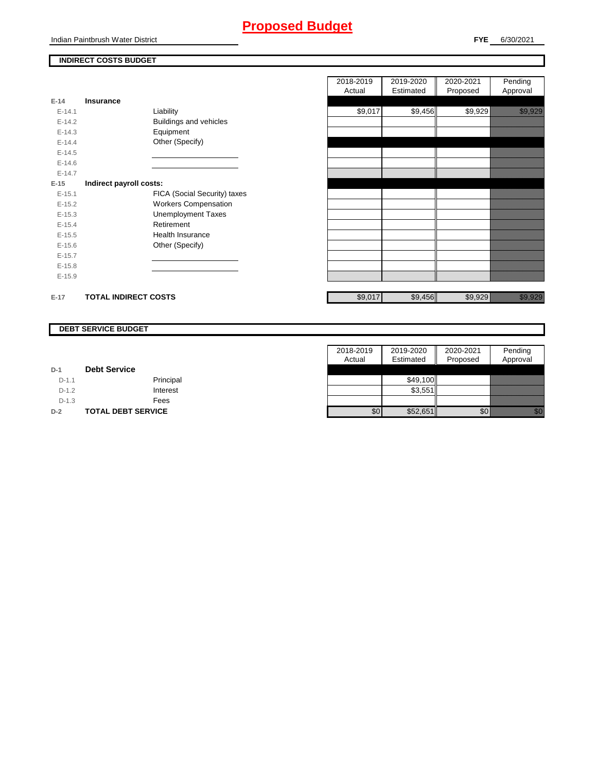# **Proposed Budget**

### **INDIRECT COSTS BUDGET**

| $E-14$   | Insurance                   |                              |
|----------|-----------------------------|------------------------------|
| $F-141$  |                             | Liability                    |
| $F-142$  |                             | Buildings and vehicles       |
| $E-14.3$ |                             | Equipment                    |
| $E-14.4$ |                             | Other (Specify)              |
| $E-14.5$ |                             |                              |
| $E-14.6$ |                             |                              |
| $F-147$  |                             |                              |
| $E-15$   | Indirect payroll costs:     |                              |
| $E-15.1$ |                             | FICA (Social Security) taxes |
| $E-15.2$ |                             | <b>Workers Compensation</b>  |
| $E-15.3$ |                             | <b>Unemployment Taxes</b>    |
| $E-15.4$ |                             | Retirement                   |
| $E-15.5$ |                             | Health Insurance             |
| $E-15.6$ |                             | Other (Specify)              |
| $E-15.7$ |                             |                              |
| $E-15.8$ |                             |                              |
| $E-15.9$ |                             |                              |
|          |                             |                              |
| $E-17$   | <b>TOTAL INDIRECT COSTS</b> |                              |

|          |                             |                              | 2018-2019 | 2019-2020 | 2020-2021 | Pending                        |
|----------|-----------------------------|------------------------------|-----------|-----------|-----------|--------------------------------|
|          |                             |                              | Actual    | Estimated | Proposed  | Approval                       |
| 14       | Insurance                   |                              |           |           |           |                                |
| $E-14.1$ |                             | Liability                    | \$9,017   | \$9,456   | \$9,929   | <u>in Marija Santan Saraja</u> |
| $E-14.2$ |                             | Buildings and vehicles       |           |           |           |                                |
| $E-14.3$ |                             | Equipment                    |           |           |           |                                |
| $E-14.4$ |                             | Other (Specify)              |           |           |           |                                |
| $E-14.5$ |                             |                              |           |           |           |                                |
| $E-14.6$ |                             |                              |           |           |           |                                |
| $E-14.7$ |                             |                              |           |           |           |                                |
| 15       | Indirect payroll costs:     |                              |           |           |           |                                |
| $E-15.1$ |                             | FICA (Social Security) taxes |           |           |           |                                |
| $E-15.2$ |                             | <b>Workers Compensation</b>  |           |           |           |                                |
| $E-15.3$ |                             | <b>Unemployment Taxes</b>    |           |           |           |                                |
| $E-15.4$ |                             | Retirement                   |           |           |           |                                |
| $E-15.5$ |                             | Health Insurance             |           |           |           |                                |
| $E-15.6$ |                             | Other (Specify)              |           |           |           |                                |
| $E-15.7$ |                             |                              |           |           |           |                                |
| $E-15.8$ |                             |                              |           |           |           |                                |
| $E-15.9$ |                             |                              |           |           |           |                                |
| $-17$    | <b>TOTAL INDIRECT COSTS</b> |                              | \$9,017   | \$9,456   | \$9,929   | e alla segunda<br>Alla segunda |

### **DEBT SERVICE BUDGET**

|         |                           | 2018-2019 | 2019-2020 | 2020-2021 | Pending                                                                                                                                                                                                                          |
|---------|---------------------------|-----------|-----------|-----------|----------------------------------------------------------------------------------------------------------------------------------------------------------------------------------------------------------------------------------|
|         |                           | Actual    | Estimated | Proposed  | Approval                                                                                                                                                                                                                         |
| $D-1$   | <b>Debt Service</b>       |           |           |           |                                                                                                                                                                                                                                  |
| $D-1.1$ | Principal                 |           | \$49.100  |           |                                                                                                                                                                                                                                  |
| $D-1.2$ | Interest                  |           | \$3,551   |           |                                                                                                                                                                                                                                  |
| $D-1.3$ | Fees                      |           |           |           |                                                                                                                                                                                                                                  |
| $D-2$   | <b>TOTAL DEBT SERVICE</b> | \$0       | \$52,651  | \$0       | en de la familie de la familie de la familie de la familie de la familie de la familie de la familie de la fam<br>De la familie de la familie de la familie de la familie de la familie de la familie de la familie de la famili |